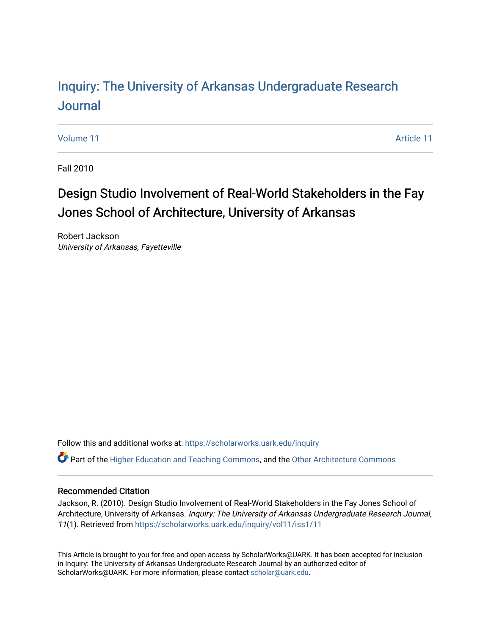# Inquiry: The Univ[ersity of Arkansas Undergraduate Resear](https://scholarworks.uark.edu/inquiry)ch [Journal](https://scholarworks.uark.edu/inquiry)

[Volume 11](https://scholarworks.uark.edu/inquiry/vol11) Article 11

Fall 2010

# Design Studio Involvement of Real-World Stakeholders in the Fay Jones School of Architecture, University of Arkansas

Robert Jackson University of Arkansas, Fayetteville

Follow this and additional works at: [https://scholarworks.uark.edu/inquiry](https://scholarworks.uark.edu/inquiry?utm_source=scholarworks.uark.edu%2Finquiry%2Fvol11%2Fiss1%2F11&utm_medium=PDF&utm_campaign=PDFCoverPages)

Part of the [Higher Education and Teaching Commons](http://network.bepress.com/hgg/discipline/806?utm_source=scholarworks.uark.edu%2Finquiry%2Fvol11%2Fiss1%2F11&utm_medium=PDF&utm_campaign=PDFCoverPages), and the [Other Architecture Commons](http://network.bepress.com/hgg/discipline/783?utm_source=scholarworks.uark.edu%2Finquiry%2Fvol11%2Fiss1%2F11&utm_medium=PDF&utm_campaign=PDFCoverPages) 

## Recommended Citation

Jackson, R. (2010). Design Studio Involvement of Real-World Stakeholders in the Fay Jones School of Architecture, University of Arkansas. Inquiry: The University of Arkansas Undergraduate Research Journal, 11(1). Retrieved from [https://scholarworks.uark.edu/inquiry/vol11/iss1/11](https://scholarworks.uark.edu/inquiry/vol11/iss1/11?utm_source=scholarworks.uark.edu%2Finquiry%2Fvol11%2Fiss1%2F11&utm_medium=PDF&utm_campaign=PDFCoverPages) 

This Article is brought to you for free and open access by ScholarWorks@UARK. It has been accepted for inclusion in Inquiry: The University of Arkansas Undergraduate Research Journal by an authorized editor of ScholarWorks@UARK. For more information, please contact [scholar@uark.edu](mailto:scholar@uark.edu).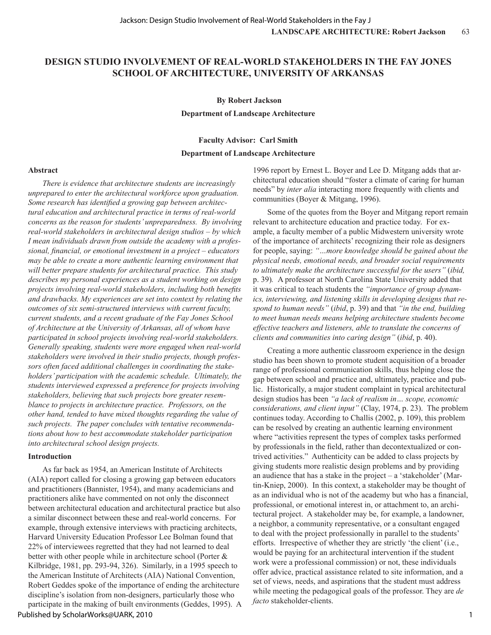# **DESIGN STUDIO INVOLVEMENT OF REAL-WORLD STAKEHOLDERS IN THE FAY JONES SCHOOL OF ARCHITECTURE, UNIVERSITY OF ARKANSAS**

 **By Robert Jackson**

**Department of Landscape Architecture**

### **Faculty Advisor: Carl Smith**

### **Department of Landscape Architecture**

#### **Abstract**

*There is evidence that architecture students are increasingly unprepared to enter the architectural workforce upon graduation. Some research has identified a growing gap between architectural education and architectural practice in terms of real-world concerns as the reason for students' unpreparedness. By involving real-world stakeholders in architectural design studios – by which I mean individuals drawn from outside the academy with a professional, financial, or emotional investment in a project – educators may be able to create a more authentic learning environment that will better prepare students for architectural practice. This study describes my personal experiences as a student working on design projects involving real-world stakeholders, including both benefits and drawbacks. My experiences are set into context by relating the outcomes of six semi-structured interviews with current faculty, current students, and a recent graduate of the Fay Jones School of Architecture at the University of Arkansas, all of whom have participated in school projects involving real-world stakeholders. Generally speaking, students were more engaged when real-world stakeholders were involved in their studio projects, though professors often faced additional challenges in coordinating the stakeholders' participation with the academic schedule. Ultimately, the students interviewed expressed a preference for projects involving stakeholders, believing that such projects bore greater resemblance to projects in architecture practice. Professors, on the other hand, tended to have mixed thoughts regarding the value of such projects. The paper concludes with tentative recommendations about how to best accommodate stakeholder participation into architectural school design projects.*

#### **Introduction**

As far back as 1954, an American Institute of Architects (AIA) report called for closing a growing gap between educators and practitioners (Bannister, 1954), and many academicians and practitioners alike have commented on not only the disconnect between architectural education and architectural practice but also a similar disconnect between these and real-world concerns. For example, through extensive interviews with practicing architects, Harvard University Education Professor Lee Bolman found that 22% of interviewees regretted that they had not learned to deal better with other people while in architecture school (Porter & Kilbridge, 1981, pp. 293-94, 326). Similarly, in a 1995 speech to the American Institute of Architects (AIA) National Convention, Robert Geddes spoke of the importance of ending the architecture discipline's isolation from non-designers, particularly those who participate in the making of built environments (Geddes, 1995). A

## Published by ScholarWorks@UARK, 2010

1996 report by Ernest L. Boyer and Lee D. Mitgang adds that architectural education should "foster a climate of caring for human needs" by *inter alia* interacting more frequently with clients and communities (Boyer & Mitgang, 1996).

Some of the quotes from the Boyer and Mitgang report remain relevant to architecture education and practice today. For example, a faculty member of a public Midwestern university wrote of the importance of architects' recognizing their role as designers for people, saying: *"…more knowledge should be gained about the physical needs, emotional needs, and broader social requirements to ultimately make the architecture successful for the users"* (*ibid,*  p. 39)*.* A professor at North Carolina State University added that it was critical to teach students the *"importance of group dynamics, interviewing, and listening skills in developing designs that respond to human needs"* (*ibid*, p. 39) and that *"in the end, building to meet human needs means helping architecture students become effective teachers and listeners, able to translate the concerns of clients and communities into caring design"* (*ibid*, p. 40).

Creating a more authentic classroom experience in the design studio has been shown to promote student acquisition of a broader range of professional communication skills, thus helping close the gap between school and practice and, ultimately, practice and public. Historically, a major student complaint in typical architectural design studios has been *"a lack of realism in… scope, economic considerations, and client input"* (Clay, 1974, p. 23). The problem continues today. According to Challis (2002, p. 109), this problem can be resolved by creating an authentic learning environment where "activities represent the types of complex tasks performed by professionals in the field, rather than decontextualized or contrived activities." Authenticity can be added to class projects by giving students more realistic design problems and by providing an audience that has a stake in the project – a 'stakeholder' (Martin-Kniep, 2000). In this context, a stakeholder may be thought of as an individual who is not of the academy but who has a financial, professional, or emotional interest in, or attachment to, an architectural project. A stakeholder may be, for example, a landowner, a neighbor, a community representative, or a consultant engaged to deal with the project professionally in parallel to the students' efforts. Irrespective of whether they are strictly 'the client' (i.e., would be paying for an architectural intervention if the student work were a professional commission) or not, these individuals offer advice, practical assistance related to site information, and a set of views, needs, and aspirations that the student must address while meeting the pedagogical goals of the professor. They are *de facto* stakeholder-clients.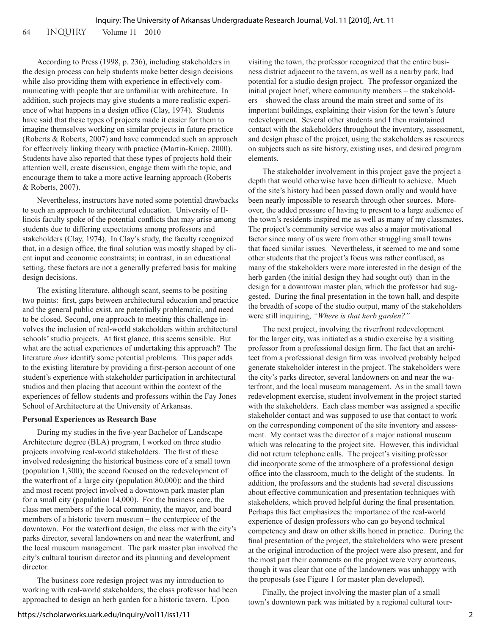64 inquiry Volume 11 2010

According to Press (1998, p. 236), including stakeholders in the design process can help students make better design decisions while also providing them with experience in effectively communicating with people that are unfamiliar with architecture. In addition, such projects may give students a more realistic experience of what happens in a design office (Clay, 1974). Students have said that these types of projects made it easier for them to imagine themselves working on similar projects in future practice (Roberts & Roberts, 2007) and have commended such an approach for effectively linking theory with practice (Martin-Kniep, 2000). Students have also reported that these types of projects hold their attention well, create discussion, engage them with the topic, and encourage them to take a more active learning approach (Roberts & Roberts, 2007).

Nevertheless, instructors have noted some potential drawbacks to such an approach to architectural education. University of Illinois faculty spoke of the potential conflicts that may arise among students due to differing expectations among professors and stakeholders (Clay, 1974). In Clay's study, the faculty recognized that, in a design office, the final solution was mostly shaped by client input and economic constraints; in contrast, in an educational setting, these factors are not a generally preferred basis for making design decisions.

The existing literature, although scant, seems to be positing two points: first, gaps between architectural education and practice and the general public exist, are potentially problematic, and need to be closed. Second, one approach to meeting this challenge involves the inclusion of real-world stakeholders within architectural schools' studio projects. At first glance, this seems sensible. But what are the actual experiences of undertaking this approach? The literature *does* identify some potential problems. This paper adds to the existing literature by providing a first-person account of one student's experience with stakeholder participation in architectural studios and then placing that account within the context of the experiences of fellow students and professors within the Fay Jones School of Architecture at the University of Arkansas.

# **Personal Experiences as Research Base**

During my studies in the five-year Bachelor of Landscape Architecture degree (BLA) program, I worked on three studio projects involving real-world stakeholders. The first of these involved redesigning the historical business core of a small town (population 1,300); the second focused on the redevelopment of the waterfront of a large city (population 80,000); and the third and most recent project involved a downtown park master plan for a small city (population 14,000). For the business core, the class met members of the local community, the mayor, and board members of a historic tavern museum – the centerpiece of the downtown. For the waterfront design, the class met with the city's parks director, several landowners on and near the waterfront, and the local museum management. The park master plan involved the city's cultural tourism director and its planning and development director.

The business core redesign project was my introduction to working with real-world stakeholders; the class professor had been approached to design an herb garden for a historic tavern. Upon

visiting the town, the professor recognized that the entire business district adjacent to the tavern, as well as a nearby park, had potential for a studio design project. The professor organized the initial project brief, where community members – the stakeholders – showed the class around the main street and some of its important buildings, explaining their vision for the town's future redevelopment. Several other students and I then maintained contact with the stakeholders throughout the inventory, assessment, and design phase of the project, using the stakeholders as resources on subjects such as site history, existing uses, and desired program elements.

The stakeholder involvement in this project gave the project a depth that would otherwise have been difficult to achieve. Much of the site's history had been passed down orally and would have been nearly impossible to research through other sources. Moreover, the added pressure of having to present to a large audience of the town's residents inspired me as well as many of my classmates. The project's community service was also a major motivational factor since many of us were from other struggling small towns that faced similar issues. Nevertheless, it seemed to me and some other students that the project's focus was rather confused, as many of the stakeholders were more interested in the design of the herb garden (the initial design they had sought out) than in the design for a downtown master plan, which the professor had suggested. During the final presentation in the town hall, and despite the breadth of scope of the studio output, many of the stakeholders were still inquiring, *"Where is that herb garden?"*

The next project, involving the riverfront redevelopment for the larger city, was initiated as a studio exercise by a visiting professor from a professional design firm. The fact that an architect from a professional design firm was involved probably helped generate stakeholder interest in the project. The stakeholders were the city's parks director, several landowners on and near the waterfront, and the local museum management. As in the small town redevelopment exercise, student involvement in the project started with the stakeholders. Each class member was assigned a specific stakeholder contact and was supposed to use that contact to work on the corresponding component of the site inventory and assessment. My contact was the director of a major national museum which was relocating to the project site. However, this individual did not return telephone calls. The project's visiting professor did incorporate some of the atmosphere of a professional design office into the classroom, much to the delight of the students. In addition, the professors and the students had several discussions about effective communication and presentation techniques with stakeholders, which proved helpful during the final presentation. Perhaps this fact emphasizes the importance of the real-world experience of design professors who can go beyond technical competency and draw on other skills honed in practice. During the final presentation of the project, the stakeholders who were present at the original introduction of the project were also present, and for the most part their comments on the project were very courteous, though it was clear that one of the landowners was unhappy with the proposals (see Figure 1 for master plan developed).

Finally, the project involving the master plan of a small town's downtown park was initiated by a regional cultural tour-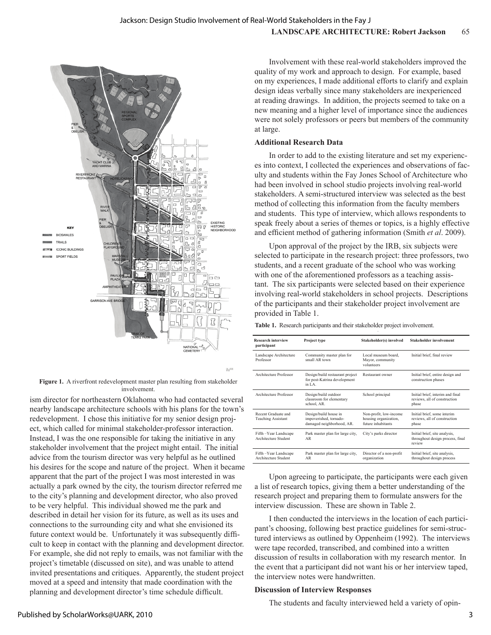

**Figure 1.** A riverfront redevelopment master plan resulting from stakeholder involvement.

ism director for northeastern Oklahoma who had contacted several nearby landscape architecture schools with his plans for the town's redevelopment. I chose this initiative for my senior design project, which called for minimal stakeholder-professor interaction. Instead, I was the one responsible for taking the initiative in any stakeholder involvement that the project might entail. The initial advice from the tourism director was very helpful as he outlined his desires for the scope and nature of the project. When it became apparent that the part of the project I was most interested in was actually a park owned by the city, the tourism director referred me to the city's planning and development director, who also proved to be very helpful. This individual showed me the park and described in detail her vision for its future, as well as its uses and connections to the surrounding city and what she envisioned its future context would be. Unfortunately it was subsequently difficult to keep in contact with the planning and development director. For example, she did not reply to emails, was not familiar with the project's timetable (discussed on site), and was unable to attend invited presentations and critiques. Apparently, the student project moved at a speed and intensity that made coordination with the planning and development director's time schedule difficult.

Involvement with these real-world stakeholders improved the quality of my work and approach to design. For example, based on my experiences, I made additional efforts to clarify and explain design ideas verbally since many stakeholders are inexperienced at reading drawings. In addition, the projects seemed to take on a new meaning and a higher level of importance since the audiences were not solely professors or peers but members of the community at large.

## **Additional Research Data**

In order to add to the existing literature and set my experiences into context, I collected the experiences and observations of faculty and students within the Fay Jones School of Architecture who had been involved in school studio projects involving real-world stakeholders. A semi-structured interview was selected as the best method of collecting this information from the faculty members and students. This type of interview, which allows respondents to speak freely about a series of themes or topics, is a highly effective and efficient method of gathering information (Smith *et al*. 2009).

Upon approval of the project by the IRB, six subjects were selected to participate in the research project: three professors, two students, and a recent graduate of the school who was working with one of the aforementioned professors as a teaching assistant. The six participants were selected based on their experience involving real-world stakeholders in school projects. Descriptions of the participants and their stakeholder project involvement are provided in Table 1.

. **Table 1.** Research participants and their stakeholder project involvement.

| <b>Research interview</b><br>participant         | Project type                                                                 | Stakeholder(s) involved                                               | <b>Stakeholder involvement</b>                                              |  |
|--------------------------------------------------|------------------------------------------------------------------------------|-----------------------------------------------------------------------|-----------------------------------------------------------------------------|--|
| Landscape Architecture<br>Professor              | Community master plan for<br>small AR town.                                  | Local museum board.<br>Mayor, community<br>volunteers                 | Initial brief, final review                                                 |  |
| Architecture Professor                           | Design/build restaurant project<br>for post-Katrina development<br>in LA     | Restaurant owner                                                      | Initial brief, entire design and<br>construction phases                     |  |
| Architecture Professor                           | Design/build outdoor<br>classroom for elementary<br>school, AR.              | School principal                                                      | Initial brief, interim and final<br>reviews, all of construction<br>phase   |  |
| Recent Graduate and<br><b>Teaching Assistant</b> | Design/build house in<br>impoverished, tornado-<br>damaged neighborhood, AR. | Non-profit, low-income<br>housing organization,<br>future inhabitants | Initial brief, some interim<br>reviews, all of construction<br>phase        |  |
| Fifth-Year Landscape<br>Architecture Student     | Park master plan for large city,<br>AR                                       | City's parks director                                                 | Initial brief, site analysis,<br>throughout design process, final<br>review |  |
| Fifth-Year Landscape<br>Architecture Student     | Park master plan for large city,<br>AR                                       | Director of a non-profit<br>organization                              | Initial brief, site analysis,<br>throughout design process                  |  |

Upon agreeing to participate, the participants were each given a list of research topics, giving them a better understanding of the research project and preparing them to formulate answers for the interview discussion. These are shown in Table 2.

I then conducted the interviews in the location of each participant's choosing, following best practice guidelines for semi-structured interviews as outlined by Oppenheim (1992). The interviews were tape recorded, transcribed, and combined into a written discussion of results in collaboration with my research mentor. In the event that a participant did not want his or her interview taped, the interview notes were handwritten.

### **Discussion of Interview Responses**

The students and faculty interviewed held a variety of opin-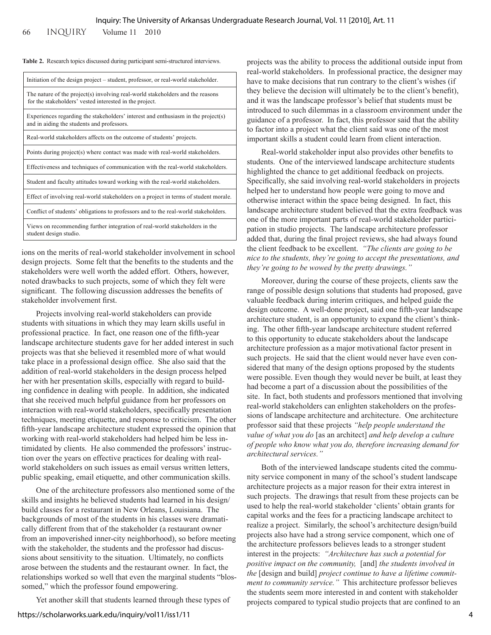66 inquiry Volume 11 2010

|  |  |  | Table 2. Research topics discussed during participant semi-structured interviews. |
|--|--|--|-----------------------------------------------------------------------------------|
|  |  |  |                                                                                   |

| Initiation of the design project – student, professor, or real-world stakeholder.                                                         |
|-------------------------------------------------------------------------------------------------------------------------------------------|
| The nature of the project(s) involving real-world stakeholders and the reasons<br>for the stakeholders' vested interested in the project. |
| Experiences regarding the stakeholders' interest and enthusiasm in the project(s)<br>and in aiding the students and professors.           |
| Real-world stakeholders affects on the outcome of students' projects.                                                                     |
| Points during project(s) where contact was made with real-world stakeholders.                                                             |
| Effectiveness and techniques of communication with the real-world stakeholders.                                                           |
| Student and faculty attitudes toward working with the real-world stakeholders.                                                            |
| Effect of involving real-world stakeholders on a project in terms of student morale.                                                      |
| Conflict of students' obligations to professors and to the real-world stakeholders.                                                       |
| Views on recommending further integration of real-world stakeholders in the<br>student design studio.                                     |

ions on the merits of real-world stakeholder involvement in school design projects. Some felt that the benefits to the students and the stakeholders were well worth the added effort. Others, however, noted drawbacks to such projects, some of which they felt were significant. The following discussion addresses the benefits of stakeholder involvement first.

Projects involving real-world stakeholders can provide students with situations in which they may learn skills useful in professional practice. In fact, one reason one of the fifth-year landscape architecture students gave for her added interest in such projects was that she believed it resembled more of what would take place in a professional design office. She also said that the addition of real-world stakeholders in the design process helped her with her presentation skills, especially with regard to building confidence in dealing with people. In addition, she indicated that she received much helpful guidance from her professors on interaction with real-world stakeholders, specifically presentation techniques, meeting etiquette, and response to criticism. The other fifth-year landscape architecture student expressed the opinion that working with real-world stakeholders had helped him be less intimidated by clients. He also commended the professors' instruction over the years on effective practices for dealing with realworld stakeholders on such issues as email versus written letters, public speaking, email etiquette, and other communication skills.

One of the architecture professors also mentioned some of the skills and insights he believed students had learned in his design/ build classes for a restaurant in New Orleans, Louisiana. The backgrounds of most of the students in his classes were dramatically different from that of the stakeholder (a restaurant owner from an impoverished inner-city neighborhood), so before meeting with the stakeholder, the students and the professor had discussions about sensitivity to the situation. Ultimately, no conflicts arose between the students and the restaurant owner. In fact, the relationships worked so well that even the marginal students "blossomed," which the professor found empowering.

Yet another skill that students learned through these types of

projects was the ability to process the additional outside input from real-world stakeholders. In professional practice, the designer may have to make decisions that run contrary to the client's wishes (if they believe the decision will ultimately be to the client's benefit), and it was the landscape professor's belief that students must be introduced to such dilemmas in a classroom environment under the guidance of a professor. In fact, this professor said that the ability to factor into a project what the client said was one of the most important skills a student could learn from client interaction.

Real-world stakeholder input also provides other benefits to students. One of the interviewed landscape architecture students highlighted the chance to get additional feedback on projects. Specifically, she said involving real-world stakeholders in projects helped her to understand how people were going to move and otherwise interact within the space being designed. In fact, this landscape architecture student believed that the extra feedback was one of the more important parts of real-world stakeholder participation in studio projects. The landscape architecture professor added that, during the final project reviews, she had always found the client feedback to be excellent. *"The clients are going to be nice to the students, they're going to accept the presentations, and they're going to be wowed by the pretty drawings."*

Moreover, during the course of these projects, clients saw the range of possible design solutions that students had proposed, gave valuable feedback during interim critiques, and helped guide the design outcome. A well-done project, said one fifth-year landscape architecture student, is an opportunity to expand the client's thinking. The other fifth-year landscape architecture student referred to this opportunity to educate stakeholders about the landscape architecture profession as a major motivational factor present in such projects. He said that the client would never have even considered that many of the design options proposed by the students were possible. Even though they would never be built, at least they had become a part of a discussion about the possibilities of the site. In fact, both students and professors mentioned that involving real-world stakeholders can enlighten stakeholders on the professions of landscape architecture and architecture. One architecture professor said that these projects *"help people understand the value of what you do* [as an architect] *and help develop a culture of people who know what you do, therefore increasing demand for architectural services."*

Both of the interviewed landscape students cited the community service component in many of the school's student landscape architecture projects as a major reason for their extra interest in such projects. The drawings that result from these projects can be used to help the real-world stakeholder 'clients' obtain grants for capital works and the fees for a practicing landscape architect to realize a project. Similarly, the school's architecture design/build projects also have had a strong service component, which one of the architecture professors believes leads to a stronger student interest in the projects: *"Architecture has such a potential for positive impact on the community,* [and] *the students involved in the* [design and build] *project continue to have a lifetime commitment to community service."* This architecture professor believes the students seem more interested in and content with stakeholder projects compared to typical studio projects that are confined to an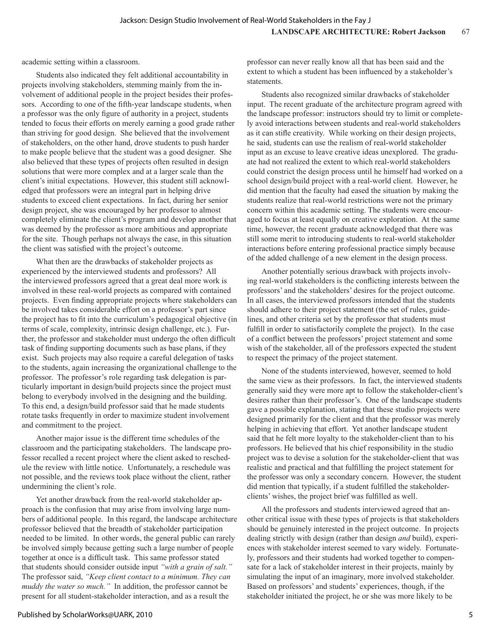academic setting within a classroom.

Students also indicated they felt additional accountability in projects involving stakeholders, stemming mainly from the involvement of additional people in the project besides their professors. According to one of the fifth-year landscape students, when a professor was the only figure of authority in a project, students tended to focus their efforts on merely earning a good grade rather than striving for good design. She believed that the involvement of stakeholders, on the other hand, drove students to push harder to make people believe that the student was a good designer. She also believed that these types of projects often resulted in design solutions that were more complex and at a larger scale than the client's initial expectations. However, this student still acknowledged that professors were an integral part in helping drive students to exceed client expectations. In fact, during her senior design project, she was encouraged by her professor to almost completely eliminate the client's program and develop another that was deemed by the professor as more ambitious and appropriate for the site. Though perhaps not always the case, in this situation the client was satisfied with the project's outcome.

What then are the drawbacks of stakeholder projects as experienced by the interviewed students and professors? All the interviewed professors agreed that a great deal more work is involved in these real-world projects as compared with contained projects. Even finding appropriate projects where stakeholders can be involved takes considerable effort on a professor's part since the project has to fit into the curriculum's pedagogical objective (in terms of scale, complexity, intrinsic design challenge, etc.). Further, the professor and stakeholder must undergo the often difficult task of finding supporting documents such as base plans, if they exist. Such projects may also require a careful delegation of tasks to the students, again increasing the organizational challenge to the professor. The professor's role regarding task delegation is particularly important in design/build projects since the project must belong to everybody involved in the designing and the building. To this end, a design/build professor said that he made students rotate tasks frequently in order to maximize student involvement and commitment to the project.

Another major issue is the different time schedules of the classroom and the participating stakeholders. The landscape professor recalled a recent project where the client asked to reschedule the review with little notice. Unfortunately, a reschedule was not possible, and the reviews took place without the client, rather undermining the client's role.

Yet another drawback from the real-world stakeholder approach is the confusion that may arise from involving large numbers of additional people. In this regard, the landscape architecture professor believed that the breadth of stakeholder participation needed to be limited. In other words, the general public can rarely be involved simply because getting such a large number of people together at once is a difficult task. This same professor stated that students should consider outside input *"with a grain of salt."* The professor said, *"Keep client contact to a minimum. They can muddy the water so much."* In addition, the professor cannot be present for all student-stakeholder interaction, and as a result the

professor can never really know all that has been said and the extent to which a student has been influenced by a stakeholder's statements.

Students also recognized similar drawbacks of stakeholder input. The recent graduate of the architecture program agreed with the landscape professor: instructors should try to limit or completely avoid interactions between students and real-world stakeholders as it can stifle creativity. While working on their design projects, he said, students can use the realism of real-world stakeholder input as an excuse to leave creative ideas unexplored. The graduate had not realized the extent to which real-world stakeholders could constrict the design process until he himself had worked on a school design/build project with a real-world client. However, he did mention that the faculty had eased the situation by making the students realize that real-world restrictions were not the primary concern within this academic setting. The students were encouraged to focus at least equally on creative exploration. At the same time, however, the recent graduate acknowledged that there was still some merit to introducing students to real-world stakeholder interactions before entering professional practice simply because of the added challenge of a new element in the design process.

Another potentially serious drawback with projects involving real-world stakeholders is the conflicting interests between the professors' and the stakeholders' desires for the project outcome. In all cases, the interviewed professors intended that the students should adhere to their project statement (the set of rules, guidelines, and other criteria set by the professor that students must fulfill in order to satisfactorily complete the project). In the case of a conflict between the professors' project statement and some wish of the stakeholder, all of the professors expected the student to respect the primacy of the project statement.

None of the students interviewed, however, seemed to hold the same view as their professors. In fact, the interviewed students generally said they were more apt to follow the stakeholder-client's desires rather than their professor's. One of the landscape students gave a possible explanation, stating that these studio projects were designed primarily for the client and that the professor was merely helping in achieving that effort. Yet another landscape student said that he felt more loyalty to the stakeholder-client than to his professors. He believed that his chief responsibility in the studio project was to devise a solution for the stakeholder-client that was realistic and practical and that fulfilling the project statement for the professor was only a secondary concern. However, the student did mention that typically, if a student fulfilled the stakeholderclients' wishes, the project brief was fulfilled as well.

All the professors and students interviewed agreed that another critical issue with these types of projects is that stakeholders should be genuinely interested in the project outcome. In projects dealing strictly with design (rather than design *and* build), experiences with stakeholder interest seemed to vary widely. Fortunately, professors and their students had worked together to compensate for a lack of stakeholder interest in their projects, mainly by simulating the input of an imaginary, more involved stakeholder. Based on professors' and students' experiences, though, if the stakeholder initiated the project, he or she was more likely to be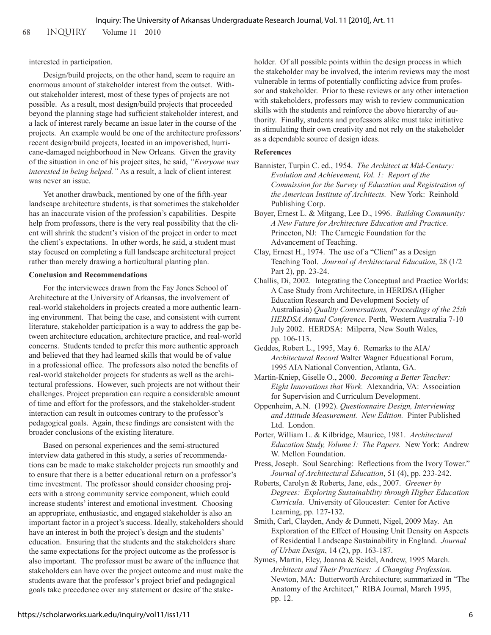68 inquiry Volume 11 2010

# interested in participation.

Design/build projects, on the other hand, seem to require an enormous amount of stakeholder interest from the outset. Without stakeholder interest, most of these types of projects are not possible. As a result, most design/build projects that proceeded beyond the planning stage had sufficient stakeholder interest, and a lack of interest rarely became an issue later in the course of the projects. An example would be one of the architecture professors' recent design/build projects, located in an impoverished, hurricane-damaged neighborhood in New Orleans. Given the gravity of the situation in one of his project sites, he said, *"Everyone was interested in being helped."* As a result, a lack of client interest was never an issue.

Yet another drawback, mentioned by one of the fifth-year landscape architecture students, is that sometimes the stakeholder has an inaccurate vision of the profession's capabilities. Despite help from professors, there is the very real possibility that the client will shrink the student's vision of the project in order to meet the client's expectations. In other words, he said, a student must stay focused on completing a full landscape architectural project rather than merely drawing a horticultural planting plan.

## **Conclusion and Recommendations**

For the interviewees drawn from the Fay Jones School of Architecture at the University of Arkansas, the involvement of real-world stakeholders in projects created a more authentic learning environment. That being the case, and consistent with current literature, stakeholder participation is a way to address the gap between architecture education, architecture practice, and real-world concerns. Students tended to prefer this more authentic approach and believed that they had learned skills that would be of value in a professional office. The professors also noted the benefits of real-world stakeholder projects for students as well as the architectural professions. However, such projects are not without their challenges. Project preparation can require a considerable amount of time and effort for the professors, and the stakeholder-student interaction can result in outcomes contrary to the professor's pedagogical goals. Again, these findings are consistent with the broader conclusions of the existing literature.

Based on personal experiences and the semi-structured interview data gathered in this study, a series of recommendations can be made to make stakeholder projects run smoothly and to ensure that there is a better educational return on a professor's time investment. The professor should consider choosing projects with a strong community service component, which could increase students' interest and emotional investment. Choosing an appropriate, enthusiastic, and engaged stakeholder is also an important factor in a project's success. Ideally, stakeholders should have an interest in both the project's design and the students' education. Ensuring that the students and the stakeholders share the same expectations for the project outcome as the professor is also important. The professor must be aware of the influence that stakeholders can have over the project outcome and must make the students aware that the professor's project brief and pedagogical goals take precedence over any statement or desire of the stakeholder. Of all possible points within the design process in which the stakeholder may be involved, the interim reviews may the most vulnerable in terms of potentially conflicting advice from professor and stakeholder. Prior to these reviews or any other interaction with stakeholders, professors may wish to review communication skills with the students and reinforce the above hierarchy of authority. Finally, students and professors alike must take initiative in stimulating their own creativity and not rely on the stakeholder as a dependable source of design ideas.

## **References**

- Bannister, Turpin C. ed., 1954. *The Architect at Mid-Century: Evolution and Achievement, Vol. 1: Report of the Commission for the Survey of Education and Registration of the American Institute of Architects.* New York: Reinhold Publishing Corp.
- Boyer, Ernest L. & Mitgang, Lee D., 1996. *Building Community: A New Future for Architecture Education and Practice.* Princeton, NJ: The Carnegie Foundation for the Advancement of Teaching.
- Clay, Ernest H., 1974. The use of a "Client" as a Design Teaching Tool. *Journal of Architectural Education*, 28 (1/2 Part 2), pp. 23-24.
- Challis, Di, 2002. Integrating the Conceptual and Practice Worlds: A Case Study from Architecture, in HERDSA (Higher Education Research and Development Society of Australiasia) *Quality Conversations, Proceedings of the 25th HERDSA Annual Conference.* Perth, Western Australia 7-10 July 2002. HERDSA: Milperra, New South Wales, pp. 106-113.
- Geddes, Robert L., 1995, May 6. Remarks to the AIA/ *Architectural Record* Walter Wagner Educational Forum, 1995 AIA National Convention, Atlanta, GA.
- Martin-Kniep, Giselle O., 2000. *Becoming a Better Teacher: Eight Innovations that Work.* Alexandria, VA: Association for Supervision and Curriculum Development.
- Oppenheim, A.N. (1992). *Questionnaire Design, Interviewing and Attitude Measurement. New Edition.* Pinter Published Ltd. London.
- Porter, William L. & Kilbridge, Maurice, 1981. *Architectural Education Study, Volume I: The Papers.* New York: Andrew W. Mellon Foundation.
- Press, Joseph. Soul Searching: Reflections from the Ivory Tower." *Journal of Architectural Education*, 51 (4), pp. 233-242.
- Roberts, Carolyn & Roberts, Jane, eds., 2007. *Greener by Degrees: Exploring Sustainability through Higher Education Curricula.* University of Gloucester: Center for Active Learning, pp. 127-132.
- Smith, Carl, Clayden, Andy & Dunnett, Nigel, 2009 May. An Exploration of the Effect of Housing Unit Density on Aspects of Residential Landscape Sustainability in England. *Journal of Urban Design*, 14 (2), pp. 163-187.

Symes, Martin, Eley, Joanna & Seidel, Andrew, 1995 March. *Architects and Their Practices: A Changing Profession.* Newton, MA: Butterworth Architecture; summarized in "The Anatomy of the Architect," RIBA Journal, March 1995, pp. 12.